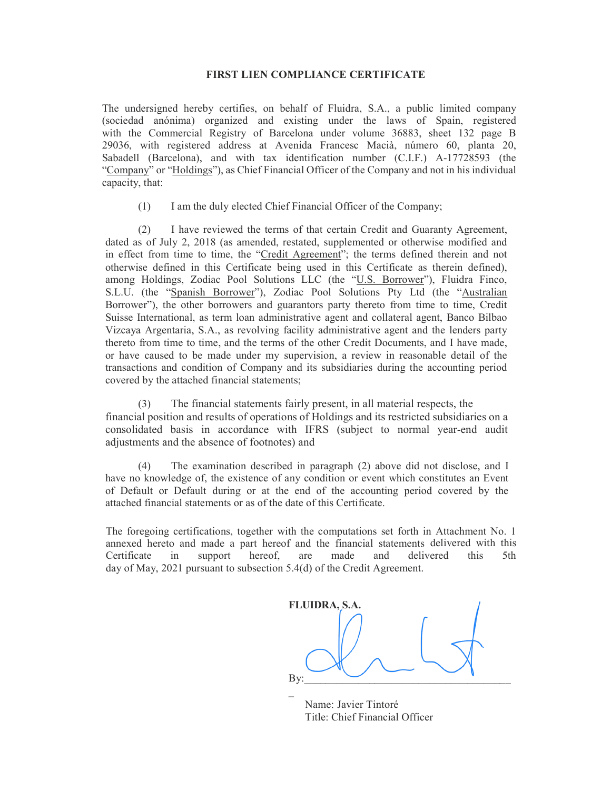## FIRST LIEN COMPLIANCE CERTIFICATE

The undersigned hereby certifies, on behalf of Fluidra, S.A., a public limited company (sociedad anónima) organized and existing under the laws of Spain, registered with the Commercial Registry of Barcelona under volume 36883, sheet 132 page B 29036, with registered address at Avenida Francesc Macià, número 60, planta 20, Sabadell (Barcelona), and with tax identification number (C.I.F.) A-17728593 (the "Company" or "Holdings"), as Chief Financial Officer of the Company and not in his individual capacity, that:

(1) I am the duly elected Chief Financial Officer of the Company;

(2) I have reviewed the terms of that certain Credit and Guaranty Agreement, dated as of July 2, 2018 (as amended, restated, supplemented or otherwise modified and in effect from time to time, the "Credit Agreement"; the terms defined therein and not otherwise defined in this Certificate being used in this Certificate as therein defined), among Holdings, Zodiac Pool Solutions LLC (the "U.S. Borrower"), Fluidra Finco, S.L.U. (the "Spanish Borrower"), Zodiac Pool Solutions Pty Ltd (the "Australian Borrower"), the other borrowers and guarantors party thereto from time to time, Credit Suisse International, as term loan administrative agent and collateral agent, Banco Bilbao Vizcaya Argentaria, S.A., as revolving facility administrative agent and the lenders party thereto from time to time, and the terms of the other Credit Documents, and I have made, or have caused to be made under my supervision, a review in reasonable detail of the transactions and condition of Company and its subsidiaries during the accounting period covered by the attached financial statements;

(3) The financial statements fairly present, in all material respects, the financial position and results of operations of Holdings and its restricted subsidiaries on a consolidated basis in accordance with IFRS (subject to normal year-end audit adjustments and the absence of footnotes) and

(4) The examination described in paragraph (2) above did not disclose, and I have no knowledge of, the existence of any condition or event which constitutes an Event of Default or Default during or at the end of the accounting period covered by the attached financial statements or as of the date of this Certificate.

The foregoing certifications, together with the computations set forth in Attachment No. 1 annexed hereto and made a part hereof and the financial statements delivered with this Certificate in support hereof, are made and delivered this 5th day of May, 2021 pursuant to subsection 5.4(d) of the Credit Agreement.

FLUIDRA, S.A. By:  $\mathcal{L}(\mathcal{L})$ 

 Name: Javier Tintoré Title: Chief Financial Officer